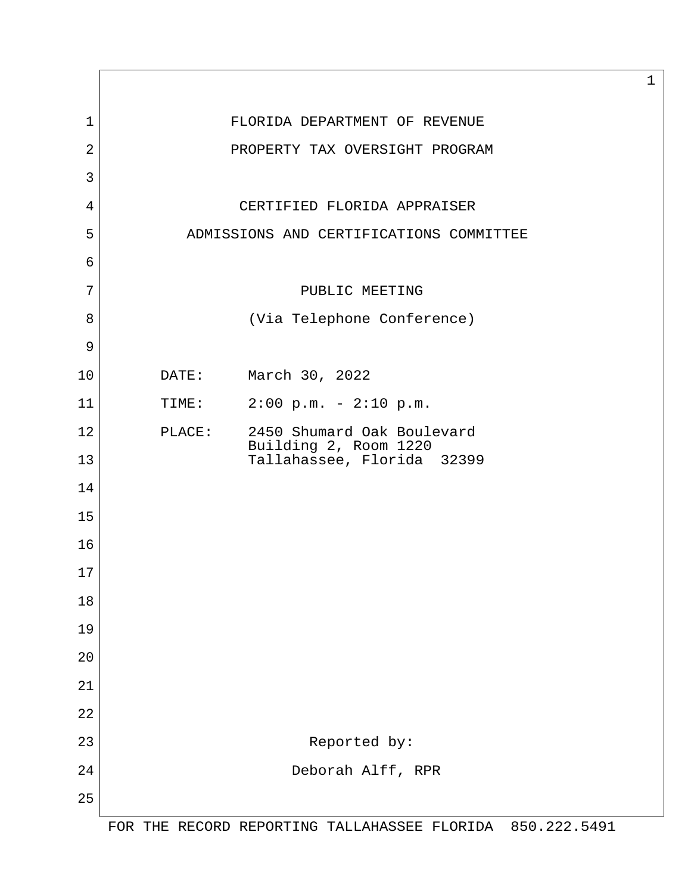| $\mathbf 1$    |                                         | FLORIDA DEPARTMENT OF REVENUE                       |             |  |  |
|----------------|-----------------------------------------|-----------------------------------------------------|-------------|--|--|
| $\overline{2}$ |                                         | PROPERTY TAX OVERSIGHT PROGRAM                      |             |  |  |
| 3              |                                         |                                                     |             |  |  |
| 4              |                                         | CERTIFIED FLORIDA APPRAISER                         |             |  |  |
| 5              | ADMISSIONS AND CERTIFICATIONS COMMITTEE |                                                     |             |  |  |
| 6              |                                         |                                                     |             |  |  |
| 7              |                                         | PUBLIC MEETING                                      |             |  |  |
| 8              |                                         | (Via Telephone Conference)                          |             |  |  |
| 9              |                                         |                                                     |             |  |  |
| 10             |                                         | DATE: March 30, 2022                                |             |  |  |
| 11             | TIME:                                   | $2:00 \text{ p.m.} - 2:10 \text{ p.m.}$             |             |  |  |
| 12             | PLACE:                                  | 2450 Shumard Oak Boulevard<br>Building 2, Room 1220 |             |  |  |
| 13             |                                         | Tallahassee, Florida 32399                          |             |  |  |
| 14             |                                         |                                                     |             |  |  |
| 15             |                                         |                                                     |             |  |  |
| 16             |                                         |                                                     |             |  |  |
| 17             |                                         |                                                     |             |  |  |
| 18             |                                         |                                                     |             |  |  |
| 19             |                                         |                                                     |             |  |  |
| 20             |                                         |                                                     |             |  |  |
| 21             |                                         |                                                     |             |  |  |
| 22             |                                         |                                                     |             |  |  |
| 23             |                                         | Reported by:                                        |             |  |  |
| 24             |                                         | Deborah Alff, RPR                                   |             |  |  |
| 25             |                                         |                                                     |             |  |  |
|                |                                         | EOD TUE DECODO OFOOTING TILLINGCEE FIOIDIN          | OEN 222 EAN |  |  |

 $\mathbf{I}$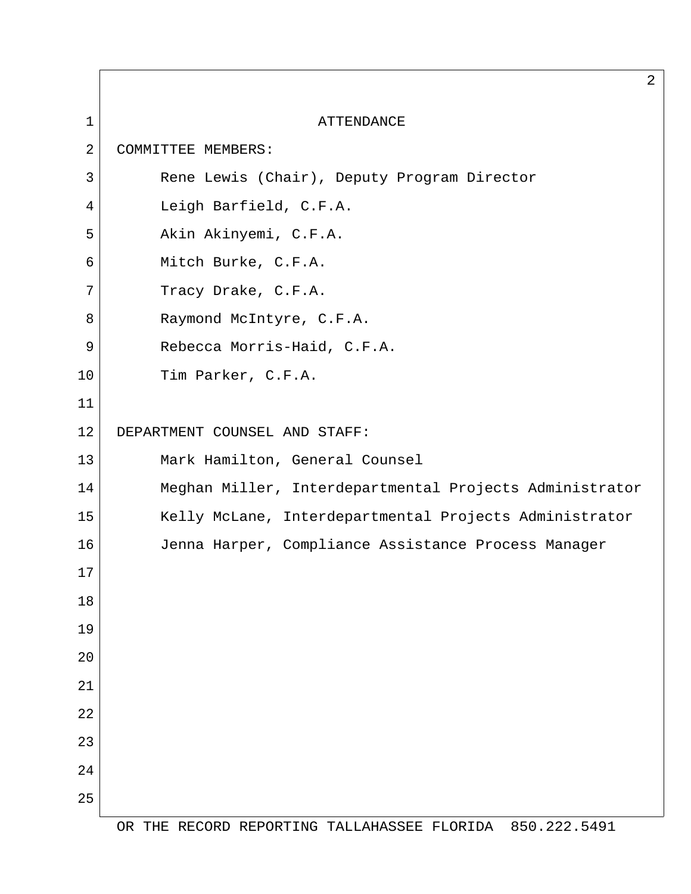|                | $\overline{2}$                                          |
|----------------|---------------------------------------------------------|
| $\mathbf{1}$   | <b>ATTENDANCE</b>                                       |
| $\overline{2}$ | COMMITTEE MEMBERS:                                      |
| 3              | Rene Lewis (Chair), Deputy Program Director             |
| 4              | Leigh Barfield, C.F.A.                                  |
| 5              | Akin Akinyemi, C.F.A.                                   |
| 6              | Mitch Burke, C.F.A.                                     |
| 7              | Tracy Drake, C.F.A.                                     |
| 8              | Raymond McIntyre, C.F.A.                                |
| 9              | Rebecca Morris-Haid, C.F.A.                             |
| 10             | Tim Parker, C.F.A.                                      |
| 11             |                                                         |
| 12             | DEPARTMENT COUNSEL AND STAFF:                           |
| 13             | Mark Hamilton, General Counsel                          |
| 14             | Meghan Miller, Interdepartmental Projects Administrator |
| 15             | Kelly McLane, Interdepartmental Projects Administrator  |
| 16             | Jenna Harper, Compliance Assistance Process Manager     |
| 17             |                                                         |
| 18             |                                                         |
| 19             |                                                         |
| $20$           |                                                         |
| 21             |                                                         |
| 22             |                                                         |
| 23             |                                                         |
| 24             |                                                         |
| 25             |                                                         |

 $\Gamma$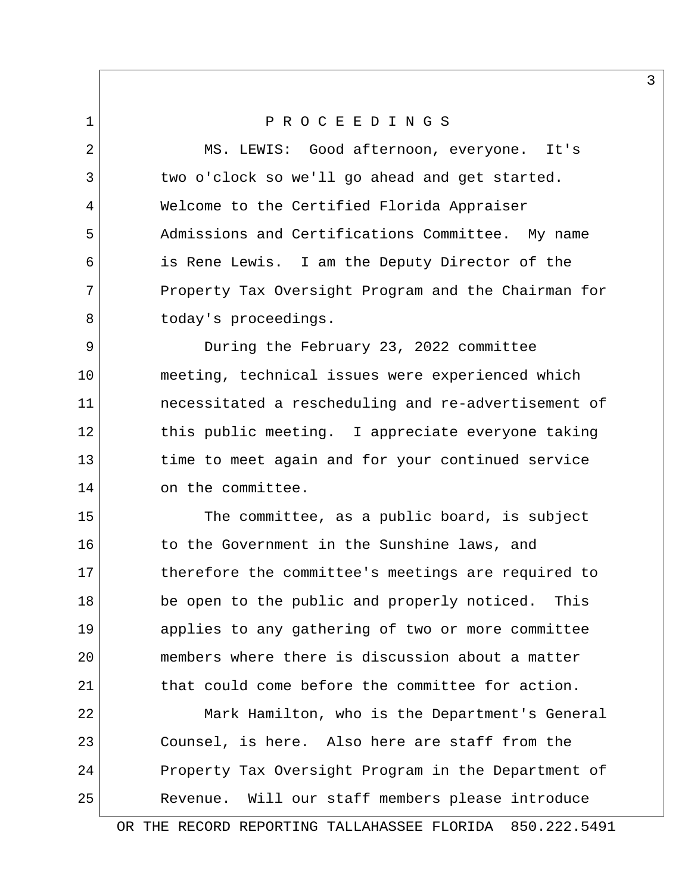## 1 P R O C E E D I N G S

 2 MS. LEWIS: Good afternoon, everyone. It's 3 two o'clock so we'll go ahead and get started. 4 Welcome to the Certified Florida Appraiser 5 Admissions and Certifications Committee. My name 6 is Rene Lewis. I am the Deputy Director of the 7 Property Tax Oversight Program and the Chairman for 8 today's proceedings.

 9 During the February 23, 2022 committee 10 meeting, technical issues were experienced which 11 necessitated a rescheduling and re-advertisement of 12 this public meeting. I appreciate everyone taking 13 time to meet again and for your continued service 14 on the committee.

15 The committee, as a public board, is subject 16 to the Government in the Sunshine laws, and 17 17 therefore the committee's meetings are required to 18 be open to the public and properly noticed. This 19 applies to any gathering of two or more committee 20 members where there is discussion about a matter 21 that could come before the committee for action.

22 Mark Hamilton, who is the Department's General 23 Counsel, is here. Also here are staff from the 24 Property Tax Oversight Program in the Department of 25 Revenue. Will our staff members please introduce

OR THE RECORD REPORTING TALLAHASSEE FLORIDA 850.222.5491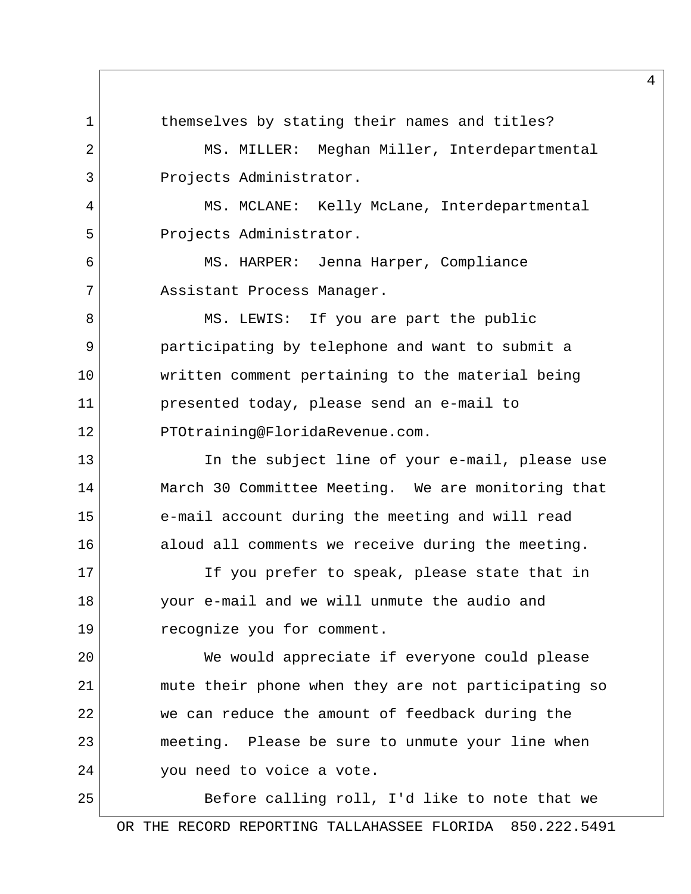1 themselves by stating their names and titles? 2 MS. MILLER: Meghan Miller, Interdepartmental 3 Projects Administrator. 4 MS. MCLANE: Kelly McLane, Interdepartmental 5 Projects Administrator. 6 MS. HARPER: Jenna Harper, Compliance 7 Assistant Process Manager. 8 MS. LEWIS: If you are part the public 9 participating by telephone and want to submit a 10 written comment pertaining to the material being 11 presented today, please send an e-mail to 12 PTOtraining@FloridaRevenue.com. 13 In the subject line of your e-mail, please use 14 March 30 Committee Meeting. We are monitoring that 15 e-mail account during the meeting and will read 16 aloud all comments we receive during the meeting. 17 If you prefer to speak, please state that in 18 your e-mail and we will unmute the audio and 19 recognize you for comment. 20 We would appreciate if everyone could please 21 mute their phone when they are not participating so 22 we can reduce the amount of feedback during the 23 meeting. Please be sure to unmute your line when 24 vou need to voice a vote. 25 Before calling roll, I'd like to note that we

OR THE RECORD REPORTING TALLAHASSEE FLORIDA 850.222.5491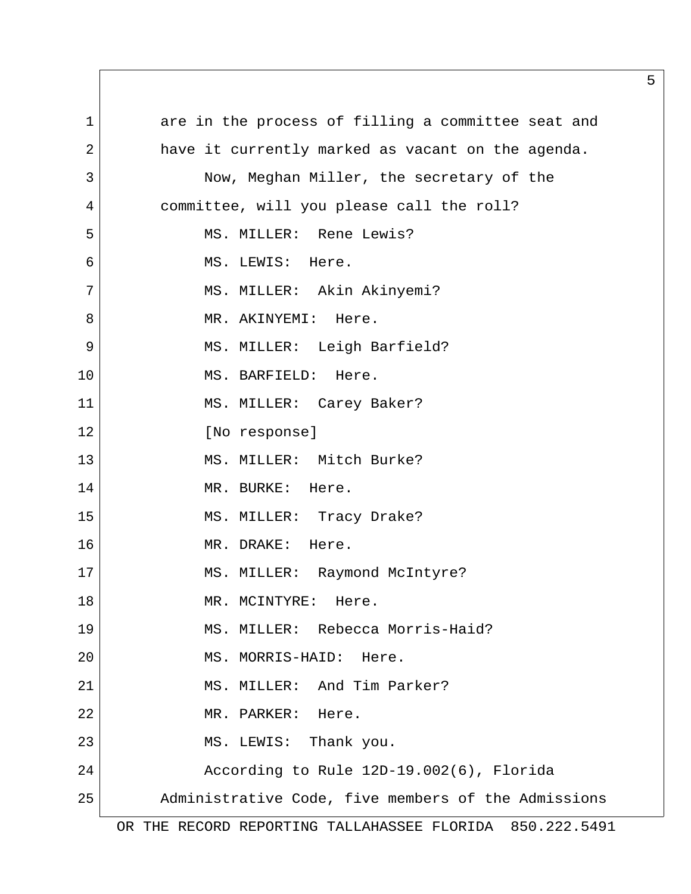1 are in the process of filling a committee seat and 2 have it currently marked as vacant on the agenda. 3 Now, Meghan Miller, the secretary of the 4 committee, will you please call the roll? 5 MS. MILLER: Rene Lewis? 6 MS. LEWIS: Here. 7 | MS. MILLER: Akin Akinyemi? 8 MR. AKINYEMI: Here. 9 MS. MILLER: Leigh Barfield? 10 MS. BARFIELD: Here. 11 | MS. MILLER: Carey Baker? 12 [No response] 13 MS. MILLER: Mitch Burke? 14 MR. BURKE: Here. 15 MS. MILLER: Tracy Drake? 16 MR. DRAKE: Here. 17 MS. MILLER: Raymond McIntyre? 18 MR. MCINTYRE: Here. 19 MS. MILLER: Rebecca Morris-Haid? 20 MS. MORRIS-HAID: Here. 21 MS. MILLER: And Tim Parker? 22 MR. PARKER: Here. 23 MS. LEWIS: Thank you. 24 According to Rule 12D-19.002(6), Florida 25 Administrative Code, five members of the Admissions

OR THE RECORD REPORTING TALLAHASSEE FLORIDA 850.222.5491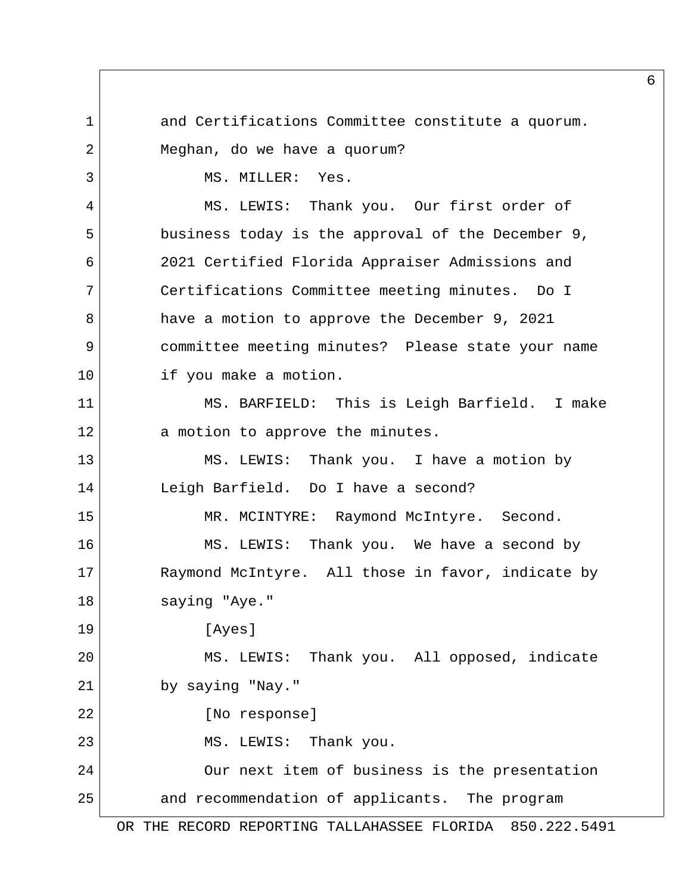1 and Certifications Committee constitute a quorum. 2 Meghan, do we have a quorum? 3 MS. MILLER: Yes. 4 MS. LEWIS: Thank you. Our first order of 5 business today is the approval of the December 9, 6 2021 Certified Florida Appraiser Admissions and 7 Certifications Committee meeting minutes. Do I 8 have a motion to approve the December 9, 2021 9 committee meeting minutes? Please state your name 10 if you make a motion. 11 MS. BARFIELD: This is Leigh Barfield. I make 12 a motion to approve the minutes. 13 MS. LEWIS: Thank you. I have a motion by 14 Leigh Barfield. Do I have a second? 15 MR. MCINTYRE: Raymond McIntyre. Second. 16 MS. LEWIS: Thank you. We have a second by 17 Raymond McIntyre. All those in favor, indicate by 18 saying "Aye." 19 [Ayes] 20 MS. LEWIS: Thank you. All opposed, indicate 21 by saying "Nay." 22 [No response] 23 MS. LEWIS: Thank you. 24 Our next item of business is the presentation 25 and recommendation of applicants. The program

6

OR THE RECORD REPORTING TALLAHASSEE FLORIDA 850.222.5491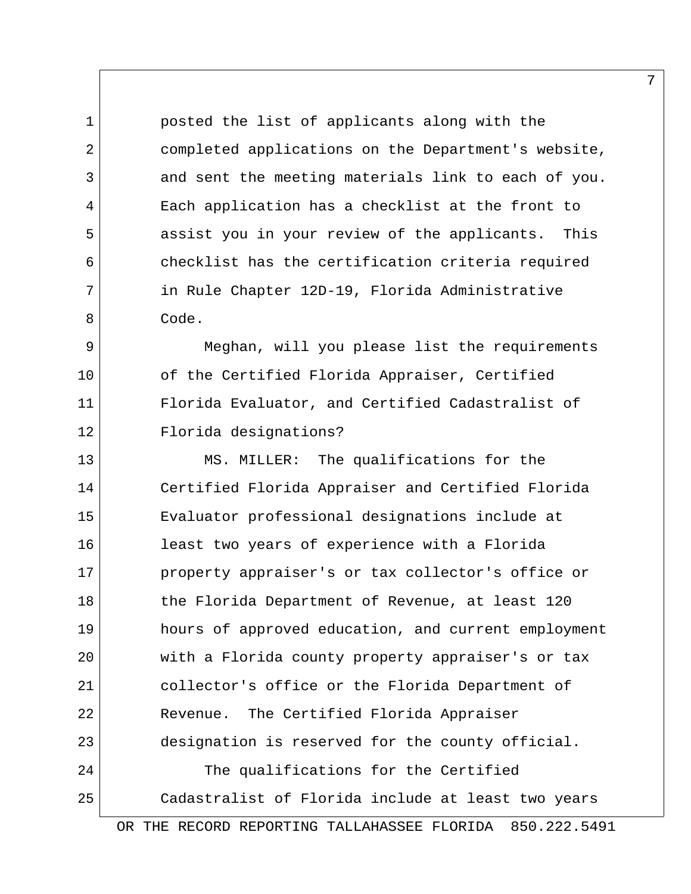1 posted the list of applicants along with the 2 completed applications on the Department's website, 3 and sent the meeting materials link to each of you. 4 Each application has a checklist at the front to 5 assist you in your review of the applicants. This 6 checklist has the certification criteria required 7 | in Rule Chapter 12D-19, Florida Administrative 8 Code.

9 Meghan, will you please list the requirements 10 of the Certified Florida Appraiser, Certified 11 Florida Evaluator, and Certified Cadastralist of 12 Florida designations?

13 MS. MILLER: The qualifications for the 14 Certified Florida Appraiser and Certified Florida 15 Evaluator professional designations include at 16 least two years of experience with a Florida 17 property appraiser's or tax collector's office or 18 the Florida Department of Revenue, at least 120 19 hours of approved education, and current employment 20 with a Florida county property appraiser's or tax 21 collector's office or the Florida Department of 22 Revenue. The Certified Florida Appraiser 23 designation is reserved for the county official. 24 The qualifications for the Certified 25 Cadastralist of Florida include at least two years

OR THE RECORD REPORTING TALLAHASSEE FLORIDA 850.222.5491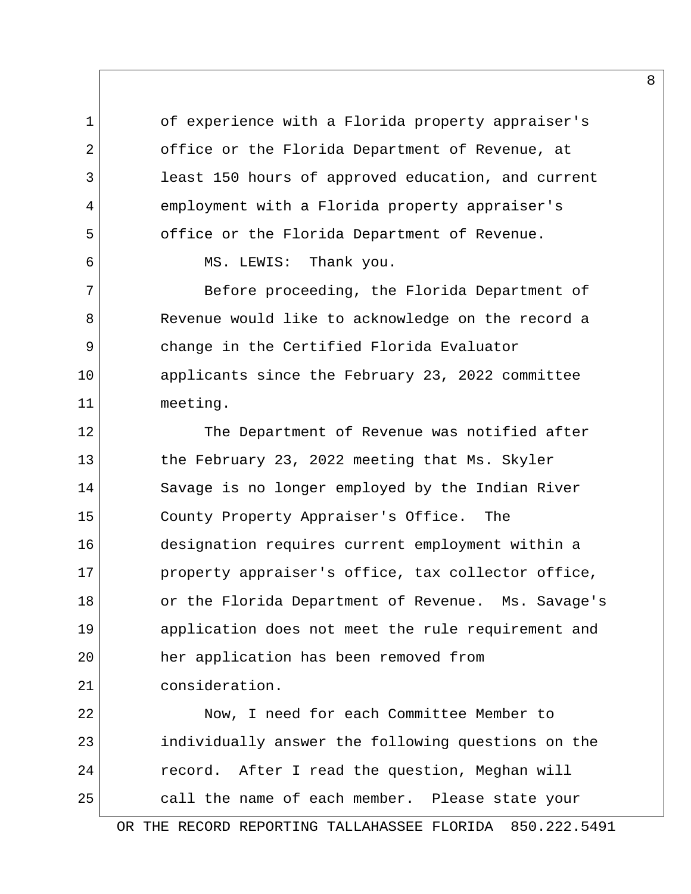1 of experience with a Florida property appraiser's 2 office or the Florida Department of Revenue, at 3 1 least 150 hours of approved education, and current 4 employment with a Florida property appraiser's 5 office or the Florida Department of Revenue.

6 MS. LEWIS: Thank you.

7 Before proceeding, the Florida Department of 8 Revenue would like to acknowledge on the record a 9 change in the Certified Florida Evaluator 10 | applicants since the February 23, 2022 committee 11 meeting.

12 The Department of Revenue was notified after 13 the February 23, 2022 meeting that Ms. Skyler 14 Savage is no longer employed by the Indian River 15 County Property Appraiser's Office. The 16 designation requires current employment within a 17 property appraiser's office, tax collector office, 18 or the Florida Department of Revenue. Ms. Savage's 19 application does not meet the rule requirement and 20 her application has been removed from 21 consideration.

22 Now, I need for each Committee Member to 23 individually answer the following questions on the 24 record. After I read the question, Meghan will 25 call the name of each member. Please state your

OR THE RECORD REPORTING TALLAHASSEE FLORIDA 850.222.5491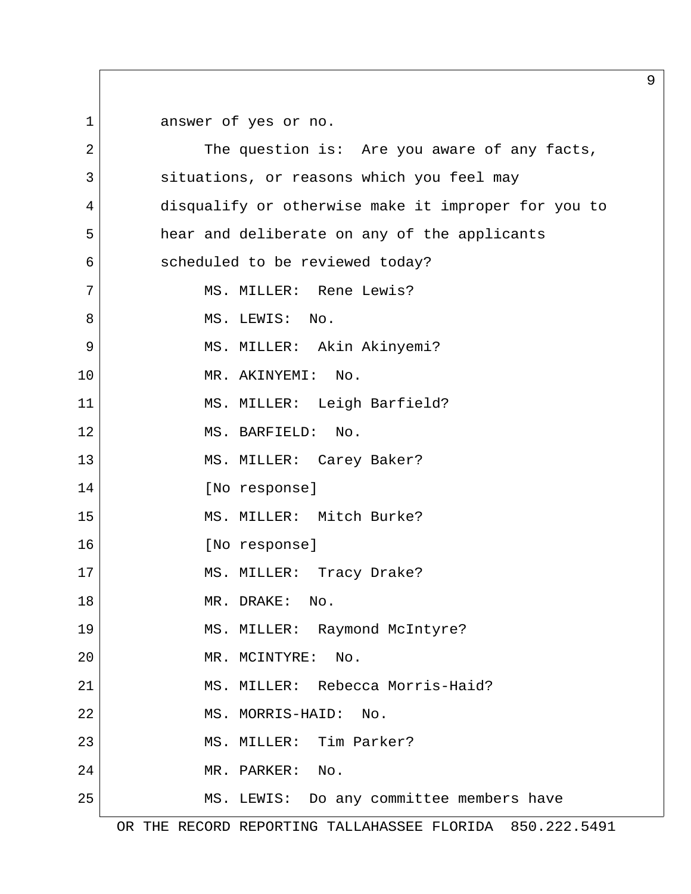1 answer of yes or no.

2 The question is: Are you aware of any facts, 3 situations, or reasons which you feel may 4 disqualify or otherwise make it improper for you to 5 hear and deliberate on any of the applicants 6 scheduled to be reviewed today? 7 MS. MILLER: Rene Lewis? 8 MS. LEWIS: No. 9 MS. MILLER: Akin Akinyemi? 10 MR. AKINYEMI: No. 11 MS. MILLER: Leigh Barfield? 12 MS. BARFIELD: No. 13 MS. MILLER: Carey Baker? 14 [No response] 15 MS. MILLER: Mitch Burke? 16 [No response] 17 MS. MILLER: Tracy Drake? 18 MR. DRAKE: No. 19 MS. MILLER: Raymond McIntyre? 20 MR. MCINTYRE: No. 21 MS. MILLER: Rebecca Morris-Haid? 22 MS. MORRIS-HAID: No. 23 MS. MILLER: Tim Parker? 24 MR. PARKER: No. 25 MS. LEWIS: Do any committee members have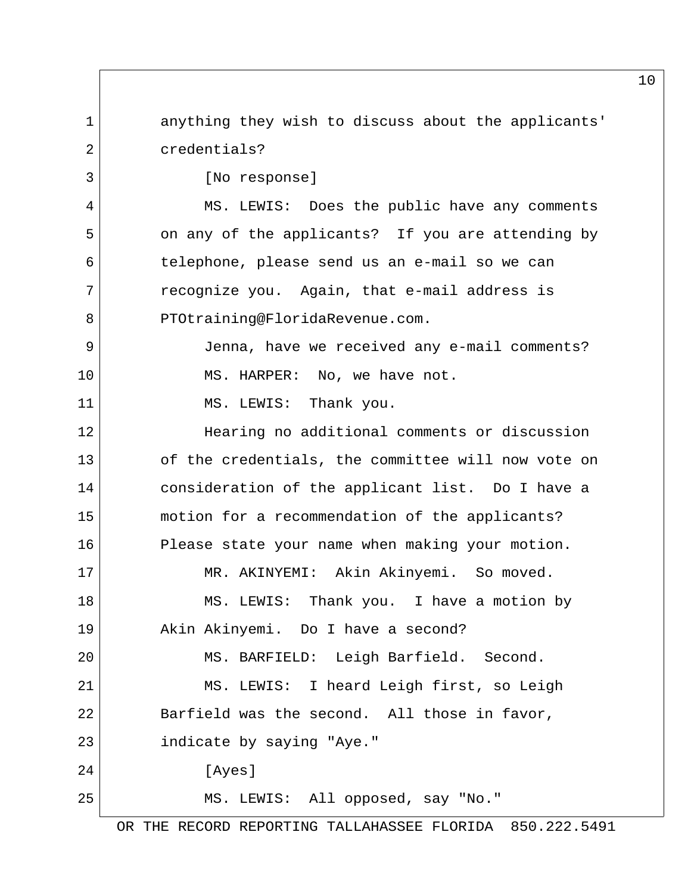1 anything they wish to discuss about the applicants' 2 credentials? 3 [No response] 4 MS. LEWIS: Does the public have any comments 5 on any of the applicants? If you are attending by 6 telephone, please send us an e-mail so we can 7 recognize you. Again, that e-mail address is 8 PTOtraining@FloridaRevenue.com. 9 Jenna, have we received any e-mail comments? 10 MS. HARPER: No, we have not. 11 MS. LEWIS: Thank you. 12 Hearing no additional comments or discussion 13 of the credentials, the committee will now vote on 14 consideration of the applicant list. Do I have a 15 motion for a recommendation of the applicants? 16 Please state your name when making your motion. 17 | MR. AKINYEMI: Akin Akinyemi. So moved. 18 MS. LEWIS: Thank you. I have a motion by 19 Akin Akinyemi. Do I have a second? 20 MS. BARFIELD: Leigh Barfield. Second. 21 MS. LEWIS: I heard Leigh first, so Leigh 22 Barfield was the second. All those in favor, 23 indicate by saying "Aye." 24 [Ayes] 25 MS. LEWIS: All opposed, say "No."

OR THE RECORD REPORTING TALLAHASSEE FLORIDA 850.222.5491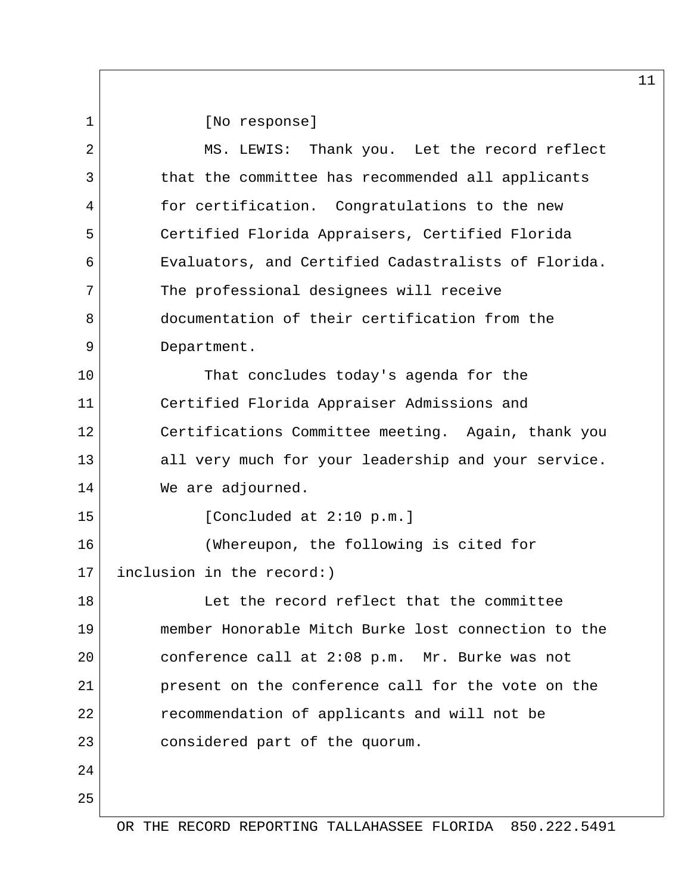1 [No response]

| $\overline{2}$ | MS. LEWIS: Thank you. Let the record reflect        |  |  |  |  |
|----------------|-----------------------------------------------------|--|--|--|--|
| 3              | that the committee has recommended all applicants   |  |  |  |  |
| 4              | for certification. Congratulations to the new       |  |  |  |  |
| 5              | Certified Florida Appraisers, Certified Florida     |  |  |  |  |
| 6              | Evaluators, and Certified Cadastralists of Florida. |  |  |  |  |
| 7              | The professional designees will receive             |  |  |  |  |
| 8              | documentation of their certification from the       |  |  |  |  |
| 9              | Department.                                         |  |  |  |  |
| 10             | That concludes today's agenda for the               |  |  |  |  |
| 11             | Certified Florida Appraiser Admissions and          |  |  |  |  |
| 12             | Certifications Committee meeting. Again, thank you  |  |  |  |  |
| 13             | all very much for your leadership and your service. |  |  |  |  |
| 14             | We are adjourned.                                   |  |  |  |  |
| 15             | [Concluded at 2:10 p.m.]                            |  |  |  |  |
| 16             | (Whereupon, the following is cited for              |  |  |  |  |
| 17             | inclusion in the record:)                           |  |  |  |  |
| 18             | Let the record reflect that the committee           |  |  |  |  |
| 19             | member Honorable Mitch Burke lost connection to the |  |  |  |  |
| 20             | conference call at 2:08 p.m. Mr. Burke was not      |  |  |  |  |
| 21             | present on the conference call for the vote on the  |  |  |  |  |
| 22             | recommendation of applicants and will not be        |  |  |  |  |
| 23             | considered part of the quorum.                      |  |  |  |  |
| 24             |                                                     |  |  |  |  |
| 25             |                                                     |  |  |  |  |